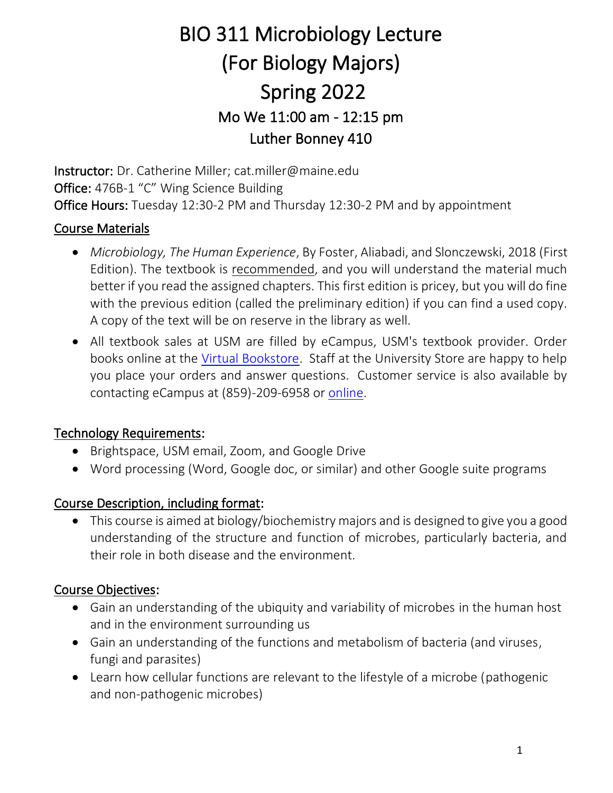# BIO 311 Microbiology Lecture (For Biology Majors) Spring 2022 Mo We 11:00 am - 12:15 pm Luther Bonney 410

Instructor: Dr. Catherine Miller; cat.miller@maine.edu Office: 476B-1 "C" Wing Science Building Office Hours: Tuesday 12:30-2 PM and Thursday 12:30-2 PM and by appointment

## Course Materials

- *Microbiology, The Human Experience*, By Foster, Aliabadi, and Slonczewski, 2018 (First Edition). The textbook is recommended, and you will understand the material much better if you read the assigned chapters. This first edition is pricey, but you will do fine with the previous edition (called the preliminary edition) if you can find a used copy. A copy of the text will be on reserve in the library as well.
- All textbook sales at USM are filled by eCampus, USM's textbook provider. Order books online at the [Virtual Bookstore.](https://usm.ecampus.com/) Staff at the University Store are happy to help you place your orders and answer questions. Customer service is also available by contacting eCampus at (859)-209-6958 or [online.](https://usm.ecampus.com/help/contact-us)

#### Technology Requirements:

- Brightspace, USM email, Zoom, and Google Drive
- Word processing (Word, Google doc, or similar) and other Google suite programs

## Course Description, including format:

• This course is aimed at biology/biochemistry majors and is designed to give you a good understanding of the structure and function of microbes, particularly bacteria, and their role in both disease and the environment.

#### Course Objectives:

- Gain an understanding of the ubiquity and variability of microbes in the human host and in the environment surrounding us
- Gain an understanding of the functions and metabolism of bacteria (and viruses, fungi and parasites)
- Learn how cellular functions are relevant to the lifestyle of a microbe (pathogenic and non-pathogenic microbes)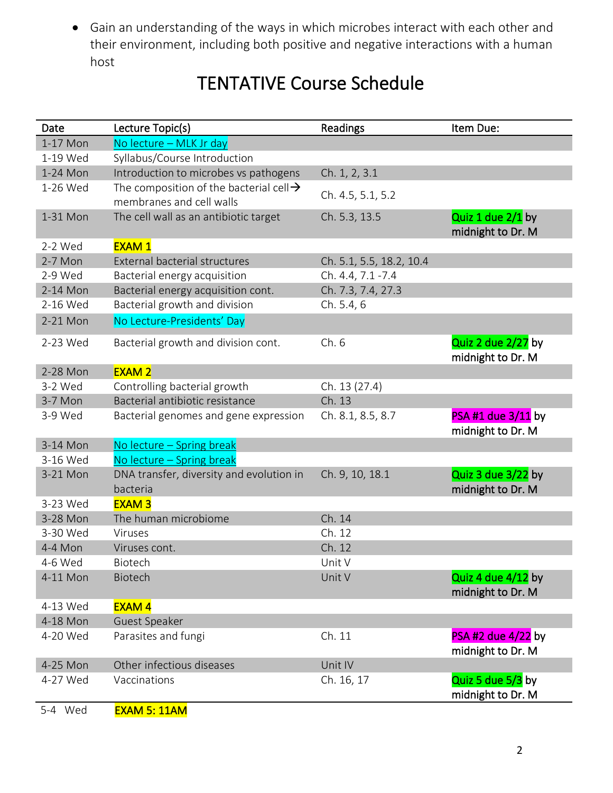• Gain an understanding of the ways in which microbes interact with each other and their environment, including both positive and negative interactions with a human host

| <b>TENTATIVE Course Schedule</b> |  |
|----------------------------------|--|
|----------------------------------|--|

| Date      | Lecture Topic(s)                                    | <b>Readings</b>          | Item Due:                               |
|-----------|-----------------------------------------------------|--------------------------|-----------------------------------------|
| 1-17 Mon  | No lecture - MLK Jr day                             |                          |                                         |
| 1-19 Wed  | Syllabus/Course Introduction                        |                          |                                         |
| 1-24 Mon  | Introduction to microbes vs pathogens               | Ch. 1, 2, 3.1            |                                         |
| 1-26 Wed  | The composition of the bacterial cell $\rightarrow$ | Ch. 4.5, 5.1, 5.2        |                                         |
|           | membranes and cell walls                            |                          |                                         |
| 1-31 Mon  | The cell wall as an antibiotic target               | Ch. 5.3, 13.5            | Quiz 1 due 2/1 by<br>midnight to Dr. M  |
| 2-2 Wed   | <b>EXAM1</b>                                        |                          |                                         |
| $2-7$ Mon | <b>External bacterial structures</b>                | Ch. 5.1, 5.5, 18.2, 10.4 |                                         |
| 2-9 Wed   | Bacterial energy acquisition                        | Ch. 4.4, 7.1 - 7.4       |                                         |
| 2-14 Mon  | Bacterial energy acquisition cont.                  | Ch. 7.3, 7.4, 27.3       |                                         |
| 2-16 Wed  | Bacterial growth and division                       | Ch. 5.4, 6               |                                         |
| 2-21 Mon  | No Lecture-Presidents' Day                          |                          |                                         |
| 2-23 Wed  | Bacterial growth and division cont.                 | Ch.6                     | Quiz 2 due 2/27 by                      |
|           |                                                     |                          | midnight to Dr. M                       |
| 2-28 Mon  | <b>EXAM 2</b>                                       |                          |                                         |
| 3-2 Wed   | Controlling bacterial growth                        | Ch. 13 (27.4)            |                                         |
| 3-7 Mon   | Bacterial antibiotic resistance                     | Ch. 13                   |                                         |
| 3-9 Wed   | Bacterial genomes and gene expression               | Ch. 8.1, 8.5, 8.7        | PSA #1 due 3/11 by<br>midnight to Dr. M |
| 3-14 Mon  | No lecture - Spring break                           |                          |                                         |
| 3-16 Wed  | No lecture - Spring break                           |                          |                                         |
| 3-21 Mon  | DNA transfer, diversity and evolution in            | Ch. 9, 10, 18.1          | Quiz 3 due 3/22 by                      |
|           | bacteria                                            |                          | midnight to Dr. M                       |
| 3-23 Wed  | <b>EXAM3</b>                                        |                          |                                         |
| 3-28 Mon  | The human microbiome                                | Ch. 14                   |                                         |
| 3-30 Wed  | Viruses                                             | Ch. 12                   |                                         |
| 4-4 Mon   | Viruses cont.                                       | Ch. 12                   |                                         |
| 4-6 Wed   | Biotech                                             | Unit V                   |                                         |
| 4-11 Mon  | <b>Biotech</b>                                      | Unit V                   | Quiz 4 due 4/12 by                      |
|           |                                                     |                          | midnight to Dr. M                       |
| 4-13 Wed  | <b>EXAM4</b>                                        |                          |                                         |
| 4-18 Mon  | <b>Guest Speaker</b>                                |                          |                                         |
| 4-20 Wed  | Parasites and fungi                                 | Ch. 11                   | $PSA$ #2 due 4/22 by                    |
|           |                                                     |                          | midnight to Dr. M                       |
| 4-25 Mon  | Other infectious diseases                           | Unit IV                  |                                         |
| 4-27 Wed  | Vaccinations                                        | Ch. 16, 17               | Quiz 5 due 5/3 by                       |
|           |                                                     |                          | midnight to Dr. M                       |
| 5-4 Wed   | <b>EXAM 5: 11AM</b>                                 |                          |                                         |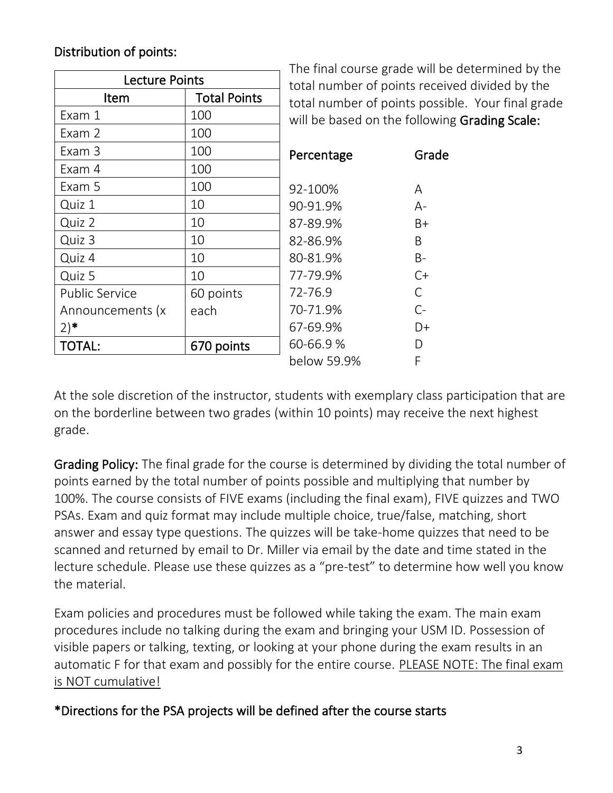### Distribution of points:

| <b>Lecture Points</b> | The final co<br>total numb |              |
|-----------------------|----------------------------|--------------|
| Item                  | <b>Total Points</b>        | total numb   |
| Exam 1                | 100                        | will be base |
| Exam 2                | 100                        |              |
| Exam 3                | 100                        | Percentage   |
| Exam 4                | 100                        |              |
| Exam 5                | 100                        | 92-100%      |
| Quiz 1                | 10                         | 90-91.9%     |
| Quiz 2                | 10                         | 87-89.9%     |
| Quiz 3                | 10                         | 82-86.9%     |
| Quiz 4                | 10                         | 80-81.9%     |
| Quiz 5                | 10                         | 77-79.9%     |
| <b>Public Service</b> | 60 points                  | 72-76.9      |
| Announcements (x      | each                       | 70-71.9%     |
| $(2)$ *               |                            | 67-69.9%     |
| <b>TOTAL:</b>         | 670 points                 | 60-66.9%     |
|                       |                            | helow 59 9   |

ourse grade will be determined by the er of points received divided by the er of points possible. Your final grade ed on the following Grading Scale:

| Percentage          | Grade     |
|---------------------|-----------|
| 92-100%<br>90-91.9% | А<br>А-   |
| 87-89.9%            | B+        |
| 82-86.9%            | R         |
| 80-81.9%            | <b>B-</b> |
| 77-79.9%            | C+        |
| 72-76.9             | C         |
| 70-71.9%            | $C-$      |
| 67-69.9%            | D+        |
| 60-66.9%            | D         |
| below 59.9%         | F         |
|                     |           |

At the sole discretion of the instructor, students with exemplary class participation that are on the borderline between two grades (within 10 points) may receive the next highest grade.

Grading Policy: The final grade for the course is determined by dividing the total number of points earned by the total number of points possible and multiplying that number by 100%. The course consists of FIVE exams (including the final exam), FIVE quizzes and TWO PSAs. Exam and quiz format may include multiple choice, true/false, matching, short answer and essay type questions. The quizzes will be take-home quizzes that need to be scanned and returned by email to Dr. Miller via email by the date and time stated in the lecture schedule. Please use these quizzes as a "pre-test" to determine how well you know the material.

Exam policies and procedures must be followed while taking the exam. The main exam procedures include no talking during the exam and bringing your USM ID. Possession of visible papers or talking, texting, or looking at your phone during the exam results in an automatic F for that exam and possibly for the entire course. PLEASE NOTE: The final exam is NOT cumulative!

\*Directions for the PSA projects will be defined after the course starts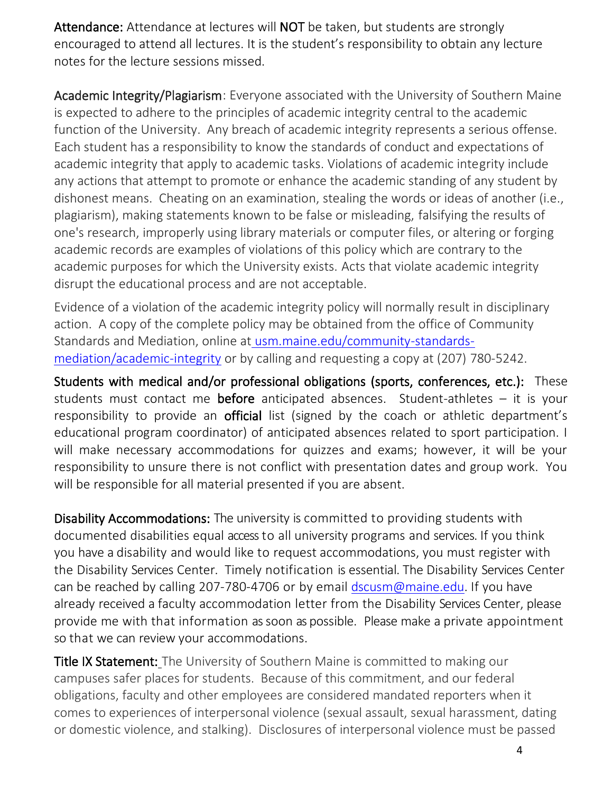Attendance: Attendance at lectures will NOT be taken, but students are strongly encouraged to attend all lectures. It is the student's responsibility to obtain any lecture notes for the lecture sessions missed.

Academic Integrity/Plagiarism: Everyone associated with the University of Southern Maine is expected to adhere to the principles of academic integrity central to the academic function of the University. Any breach of academic integrity represents a serious offense. Each student has a responsibility to know the standards of conduct and expectations of academic integrity that apply to academic tasks. Violations of academic integrity include any actions that attempt to promote or enhance the academic standing of any student by dishonest means. Cheating on an examination, stealing the words or ideas of another (i.e., plagiarism), making statements known to be false or misleading, falsifying the results of one's research, improperly using library materials or computer files, or altering or forging academic records are examples of violations of this policy which are contrary to the academic purposes for which the University exists. Acts that violate academic integrity disrupt the educational process and are not acceptable.

Evidence of a violation of the academic integrity policy will normally result in disciplinary action. A copy of the complete policy may be obtained from the office of Community Standards and Mediation, online at [usm.maine.edu/community-standards](http://usm.maine.edu/community-standards-mediation/academic-integrity)[mediation/academic-integrity](http://usm.maine.edu/community-standards-mediation/academic-integrity) or by calling and requesting a copy at (207) 780-5242.

Students with medical and/or professional obligations (sports, conferences, etc.):These students must contact me before anticipated absences. Student-athletes  $-$  it is your responsibility to provide an **official** list (signed by the coach or athletic department's educational program coordinator) of anticipated absences related to sport participation. I will make necessary accommodations for quizzes and exams; however, it will be your responsibility to unsure there is not conflict with presentation dates and group work. You will be responsible for all material presented if you are absent.

Disability Accommodations: The university is committed to providing students with documented disabilities equal accessto all university programs and services. If you think you have a disability and would like to request accommodations, you must register with the Disability Services Center. Timely notification is essential. The Disability Services Center can be reached by calling 207-780-4706 or by email [dscusm@maine.edu.](mailto:dscusm@maine.edu) If you have already received a faculty accommodation letter from the Disability Services Center, please provide me with that information as soon as possible. Please make a private appointment so that we can review your accommodations.

Title IX Statement:The University of Southern Maine is committed to making our campuses safer places for students. Because of this commitment, and our federal obligations, faculty and other employees are considered mandated reporters when it comes to experiences of interpersonal violence (sexual assault, sexual harassment, dating or domestic violence, and stalking). Disclosures of interpersonal violence must be passed